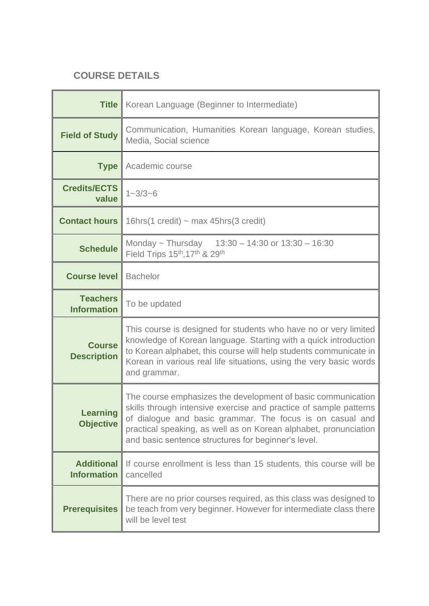## **COURSE DETAILS**

| <b>Title</b>                            | Korean Language (Beginner to Intermediate)                                                                                                                                                                                                                                                                                |
|-----------------------------------------|---------------------------------------------------------------------------------------------------------------------------------------------------------------------------------------------------------------------------------------------------------------------------------------------------------------------------|
| <b>Field of Study</b>                   | Communication, Humanities Korean language, Korean studies,<br>Media, Social science                                                                                                                                                                                                                                       |
| <b>Type</b>                             | Academic course                                                                                                                                                                                                                                                                                                           |
| <b>Credits/ECTS</b><br>value            | $1 - 3/3 - 6$                                                                                                                                                                                                                                                                                                             |
| <b>Contact hours</b>                    | 16hrs(1 credit) $\sim$ max 45hrs(3 credit)                                                                                                                                                                                                                                                                                |
| <b>Schedule</b>                         | Monday ~ Thursday $13:30 - 14:30$ or $13:30 - 16:30$<br>Field Trips 15th, 17th & 29th                                                                                                                                                                                                                                     |
| <b>Course level</b>                     | <b>Bachelor</b>                                                                                                                                                                                                                                                                                                           |
| <b>Teachers</b><br><b>Information</b>   | To be updated                                                                                                                                                                                                                                                                                                             |
| <b>Course</b><br><b>Description</b>     | This course is designed for students who have no or very limited<br>knowledge of Korean language. Starting with a quick introduction<br>to Korean alphabet, this course will help students communicate in<br>Korean in various real life situations, using the very basic words<br>and grammar.                           |
| <b>Learning</b><br><b>Objective</b>     | The course emphasizes the development of basic communication<br>skills through intensive exercise and practice of sample patterns<br>of dialogue and basic grammar. The focus is on casual and<br>practical speaking, as well as on Korean alphabet, pronunciation<br>and basic sentence structures for beginner's level. |
| <b>Additional</b><br><b>Information</b> | If course enrollment is less than 15 students, this course will be<br>cancelled                                                                                                                                                                                                                                           |
| <b>Prerequisites</b>                    | There are no prior courses required, as this class was designed to<br>be teach from very beginner. However for intermediate class there<br>will be level test                                                                                                                                                             |